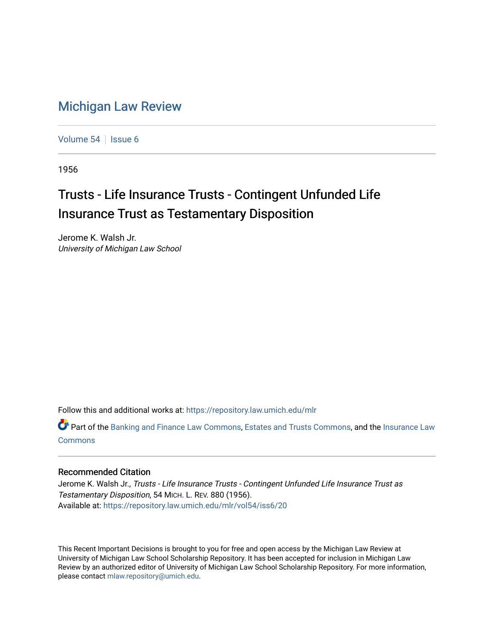## [Michigan Law Review](https://repository.law.umich.edu/mlr)

[Volume 54](https://repository.law.umich.edu/mlr/vol54) | [Issue 6](https://repository.law.umich.edu/mlr/vol54/iss6)

1956

## Trusts - Life Insurance Trusts - Contingent Unfunded Life Insurance Trust as Testamentary Disposition

Jerome K. Walsh Jr. University of Michigan Law School

Follow this and additional works at: [https://repository.law.umich.edu/mlr](https://repository.law.umich.edu/mlr?utm_source=repository.law.umich.edu%2Fmlr%2Fvol54%2Fiss6%2F20&utm_medium=PDF&utm_campaign=PDFCoverPages) 

Part of the [Banking and Finance Law Commons,](http://network.bepress.com/hgg/discipline/833?utm_source=repository.law.umich.edu%2Fmlr%2Fvol54%2Fiss6%2F20&utm_medium=PDF&utm_campaign=PDFCoverPages) [Estates and Trusts Commons,](http://network.bepress.com/hgg/discipline/906?utm_source=repository.law.umich.edu%2Fmlr%2Fvol54%2Fiss6%2F20&utm_medium=PDF&utm_campaign=PDFCoverPages) and the [Insurance Law](http://network.bepress.com/hgg/discipline/607?utm_source=repository.law.umich.edu%2Fmlr%2Fvol54%2Fiss6%2F20&utm_medium=PDF&utm_campaign=PDFCoverPages) [Commons](http://network.bepress.com/hgg/discipline/607?utm_source=repository.law.umich.edu%2Fmlr%2Fvol54%2Fiss6%2F20&utm_medium=PDF&utm_campaign=PDFCoverPages)

## Recommended Citation

Jerome K. Walsh Jr., Trusts - Life Insurance Trusts - Contingent Unfunded Life Insurance Trust as Testamentary Disposition, 54 MICH. L. REV. 880 (1956). Available at: [https://repository.law.umich.edu/mlr/vol54/iss6/20](https://repository.law.umich.edu/mlr/vol54/iss6/20?utm_source=repository.law.umich.edu%2Fmlr%2Fvol54%2Fiss6%2F20&utm_medium=PDF&utm_campaign=PDFCoverPages) 

This Recent Important Decisions is brought to you for free and open access by the Michigan Law Review at University of Michigan Law School Scholarship Repository. It has been accepted for inclusion in Michigan Law Review by an authorized editor of University of Michigan Law School Scholarship Repository. For more information, please contact [mlaw.repository@umich.edu.](mailto:mlaw.repository@umich.edu)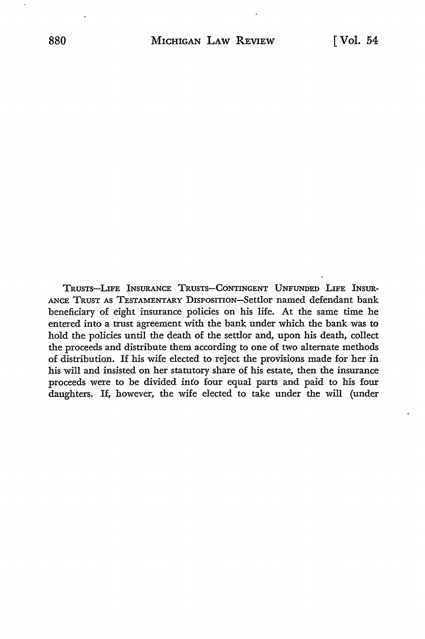TRUSTS-LIFE INSURANCE TRUSTS-CONTINGENT UNFUNDED LIFE INSUR-ANCE TRUST AS TESTAMENTARY D1spos1TION-Settlor named defendant bank beneficiary of eight insurance policies on his life. At the same time he entered into a trust agreement with the bank under which the bank was to hold the policies until the death of the settlor and, upon his death, collect the proceeds and distribute them according *to* one of two alternate methods of distribution. If his wife elected to reject the provisions made for her in his will and insisted on her statutory share of his estate, then the insurance proceeds were to be divided info four equal parts and paid to his four daughters. If, however, the wife elected to take under the will (under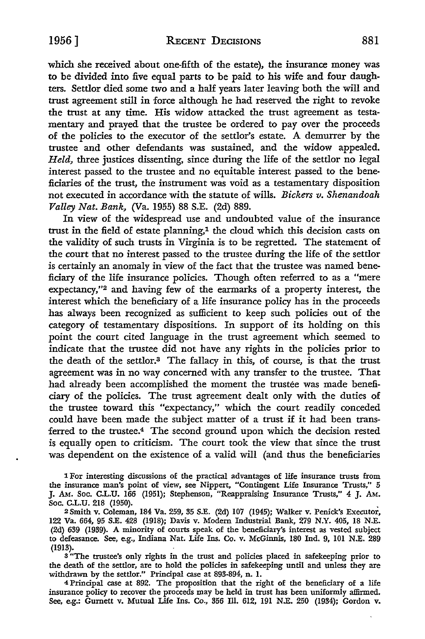which she received about one-fifth of the estate), the insurance money was to be divided into five equal parts to be paid to his wife and four daughters. Settlor died some two and a half years later leaving both the will and trust agreement still in force although he had reserved the right to revoke the trust at any time. His widow attacked the trust agreement as testamentary and prayed that the trustee be ordered to pay over the proceeds of the policies to the executor of the settlor's estate. A demurrer by the trustee and other defendants was sustained, and the widow appealed. *Held,* three justices dissenting, since during the life of the settlor no legal interest passed to the trustee and no equitable interest passed to the beneficiaries of the trust, the instrument was void as a testamentary disposition not executed in accordance with the statute of wills. *Bickers v. Shenandoah Valley Nat. Bank,* (Va. 1955) 88 S.E. (2d) 889.

In view of the widespread use and undoubted value of the insurance trust in the field of estate planning,<sup>1</sup> the cloud which this decision casts on the validity of such trusts in Virginia is to be regretted. The statement of the court that no interest passed to the trustee during the life of the settlor is certainly an anomaly in view of the fact that the trustee was named beneficiary of the life insurance policies. Though often referred to as a "mere expectancy,"<sup>2</sup> and having few of the earmarks of a property interest, the interest which the beneficiary of a life insurance policy has in the proceeds has always been recognized as sufficient to keep such policies out of the category of testamentary dispositions. In support of its holding on this point the court cited language in the trust agreement which seemed to indicate that the trustee did not have any rights in the policies prior to the death of the settlor.3 The fallacy in this, of course, is that the trust agreement was in no way concerned with any transfer to the trustee. That had already been accomplished the moment the trustee was made beneficiary of the policies. The trust agreement dealt only with the duties of the trustee toward this "expectancy," which the court readily conceded could have been made the subject matter of a trust if it had been transferred to the trustee.4 The second ground upon which the decision rested is equally open to criticism. The court took the view that since the trust was dependent on the existence of a valid will (and thus the beneficiaries

<sup>4</sup>Principal case at 892. The proposition that the right of the beneficiary of a life insurance policy to recover the proceeds may be held in trust has been uniformly affirmed. See, e.g.: Gurnett v. Mutual Life Ins. Co., 356 Ill. 612, 191 N.E. 250 (1934); Gordon v.

l For interesting discussions of the practical advantages of life insurance trusts from the insurance man's point of view, see Nippert, "Contingent Life Insurance Trusts," 5 J. AM. Soc. C.L.U. 166 (1951); Stephenson, "Reappraising Insurance Trusts," 4 J. AM.  $Soc. C.L.U. 218$  (1950).

<sup>2</sup> Smith v. Coleman, 184 Va. 259, 35 S.E. (2d) 107 (1945); Walker v. Penick's Executor, 122 Va. 664, 95 S.E. 428 (1918); Davis v. Modem Industrial Bank, 279 N.Y. 405, 18 N.E. (2d) 639 (1939). A minority of courts speak of the beneficiary's interest as vested subject to defeasance. See, e.g., Indiana Nat. Life Ins. Co. v. McGinnis, 180 Ind. 9, 101 N.E. 289 (1913).

<sup>&</sup>lt;sup>3</sup>"The trustee's only rights in the trust and policies placed in safekeeping prior to the death of the settler, are to hold the policies in safekeeping until and unless they are withdrawn by the settler." Principal case at 893-894, n. I.